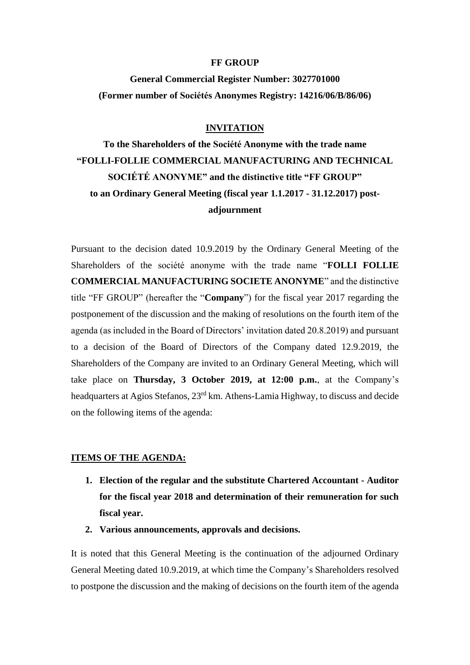#### **FF GROUP**

## **General Commercial Register Number: 3027701000 (Former number οf Sociétés Anonymes Registry: 14216/06/B/86/06)**

### **INVITATION**

**To the Shareholders of the Société Anonyme with the trade name "FOLLI-FOLLIE COMMERCIAL MANUFACTURING AND TECHNICAL SOCIÉTÉ ANONYME" and the distinctive title "FF GROUP" to an Ordinary General Meeting (fiscal year 1.1.2017 - 31.12.2017) postadjournment**

Pursuant to the decision dated 10.9.2019 by the Ordinary General Meeting of the Shareholders of the société anonyme with the trade name "**FOLLI FOLLIE COMMERCIAL MANUFACTURING SOCIETE ANONYME**" and the distinctive title "FF GROUP" (hereafter the "**Company**") for the fiscal year 2017 regarding the postponement of the discussion and the making of resolutions on the fourth item of the agenda (as included in the Board of Directors' invitation dated 20.8.2019) and pursuant to a decision of the Board of Directors of the Company dated 12.9.2019, the Shareholders of the Company are invited to an Ordinary General Meeting, which will take place on **Thursday, 3 October 2019, at 12:00 p.m.**, at the Company's headquarters at Agios Stefanos, 23rd km. Athens-Lamia Highway, to discuss and decide on the following items of the agenda:

#### **ITEMS OF THE AGENDA:**

- **1. Election of the regular and the substitute Chartered Accountant - Auditor for the fiscal year 2018 and determination of their remuneration for such fiscal year.**
- **2. Various announcements, approvals and decisions.**

It is noted that this General Meeting is the continuation of the adjourned Ordinary General Meeting dated 10.9.2019, at which time the Company's Shareholders resolved to postpone the discussion and the making of decisions on the fourth item of the agenda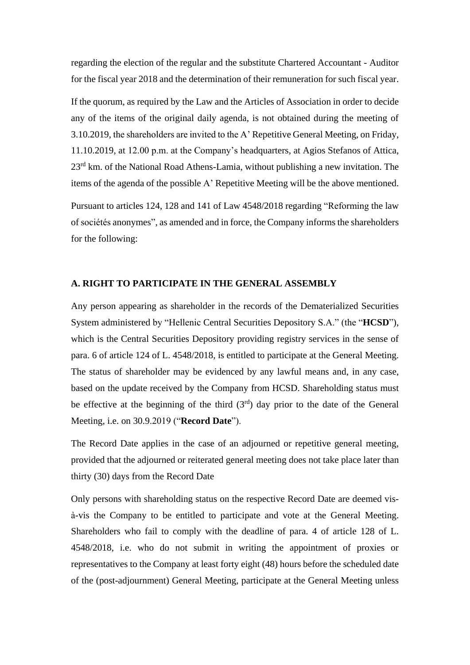regarding the election of the regular and the substitute Chartered Accountant - Auditor for the fiscal year 2018 and the determination of their remuneration for such fiscal year.

If the quorum, as required by the Law and the Articles of Association in order to decide any of the items of the original daily agenda, is not obtained during the meeting of 3.10.2019, the shareholders are invited to the A' Repetitive General Meeting, on Friday, 11.10.2019, at 12.00 p.m. at the Company's headquarters, at Agios Stefanos of Attica, 23<sup>rd</sup> km. of the National Road Athens-Lamia, without publishing a new invitation. The items of the agenda of the possible A' Repetitive Meeting will be the above mentioned. Pursuant to articles 124, 128 and 141 of Law 4548/2018 regarding "Reforming the law

of sociétés anonymes", as amended and in force, the Company informs the shareholders for the following:

## **A. RIGHT TO PARTICIPATE IN THE GENERAL ASSEMBLY**

Any person appearing as shareholder in the records of the Dematerialized Securities System administered by "Hellenic Central Securities Depository S.A." (the "**HCSD**"), which is the Central Securities Depository providing registry services in the sense of para. 6 of article 124 of L. 4548/2018, is entitled to participate at the General Meeting. The status of shareholder may be evidenced by any lawful means and, in any case, based on the update received by the Company from HCSD. Shareholding status must be effective at the beginning of the third  $(3<sup>rd</sup>)$  day prior to the date of the General Meeting, i.e. on 30.9.2019 ("**Record Date**").

The Record Date applies in the case of an adjourned or repetitive general meeting, provided that the adjourned or reiterated general meeting does not take place later than thirty (30) days from the Record Date

Only persons with shareholding status on the respective Record Date are deemed visà-vis the Company to be entitled to participate and vote at the General Meeting. Shareholders who fail to comply with the deadline of para. 4 of article 128 of L. 4548/2018, i.e. who do not submit in writing the appointment of proxies or representatives to the Company at least forty eight (48) hours before the scheduled date of the (post-adjournment) General Meeting, participate at the General Meeting unless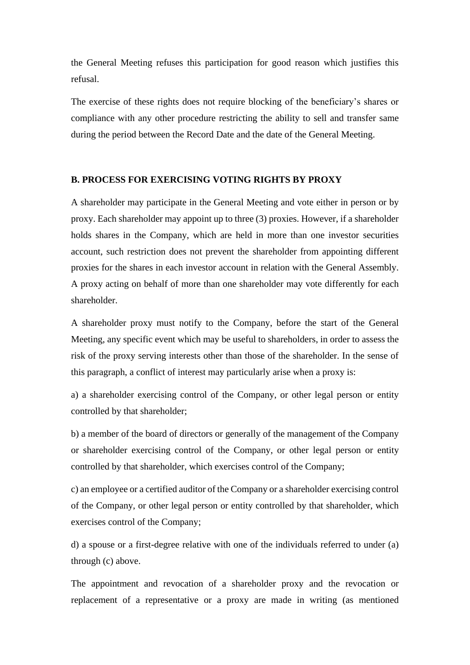the General Meeting refuses this participation for good reason which justifies this refusal.

The exercise of these rights does not require blocking of the beneficiary's shares or compliance with any other procedure restricting the ability to sell and transfer same during the period between the Record Date and the date of the General Meeting.

#### **B. PROCESS FOR EXERCISING VOTING RIGHTS BY PROXY**

A shareholder may participate in the General Meeting and vote either in person or by proxy. Each shareholder may appoint up to three (3) proxies. However, if a shareholder holds shares in the Company, which are held in more than one investor securities account, such restriction does not prevent the shareholder from appointing different proxies for the shares in each investor account in relation with the General Assembly. A proxy acting on behalf of more than one shareholder may vote differently for each shareholder.

A shareholder proxy must notify to the Company, before the start of the General Meeting, any specific event which may be useful to shareholders, in order to assess the risk of the proxy serving interests other than those of the shareholder. In the sense of this paragraph, a conflict of interest may particularly arise when a proxy is:

a) a shareholder exercising control of the Company, or other legal person or entity controlled by that shareholder;

b) a member of the board of directors or generally of the management of the Company or shareholder exercising control of the Company, or other legal person or entity controlled by that shareholder, which exercises control of the Company;

c) an employee or a certified auditor of the Company or a shareholder exercising control of the Company, or other legal person or entity controlled by that shareholder, which exercises control of the Company;

d) a spouse or a first-degree relative with one of the individuals referred to under (a) through (c) above.

The appointment and revocation of a shareholder proxy and the revocation or replacement of a representative or a proxy are made in writing (as mentioned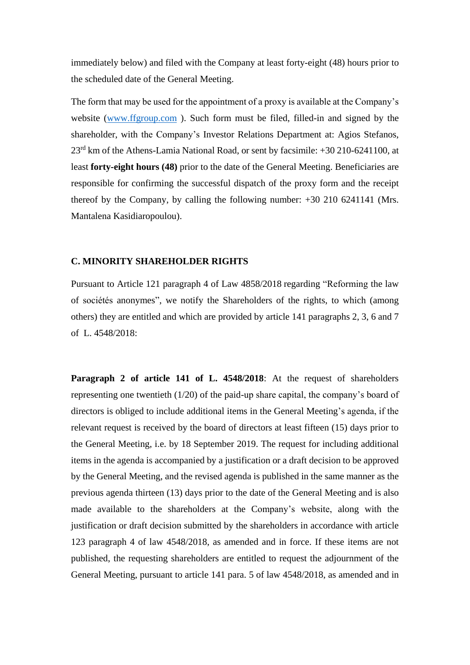immediately below) and filed with the Company at least forty-eight (48) hours prior to the scheduled date of the General Meeting.

The form that may be used for the appointment of a proxy is available at the Company's website [\(www.ffgroup.com](http://www.ffgroup.com/)). Such form must be filed, filled-in and signed by the shareholder, with the Company's Investor Relations Department at: Agios Stefanos, 23rd km of the Athens-Lamia National Road, or sent by facsimile: +30 210-6241100, at least **forty-eight hours (48)** prior to the date of the General Meeting. Beneficiaries are responsible for confirming the successful dispatch of the proxy form and the receipt thereof by the Company, by calling the following number: +30 210 6241141 (Mrs. Mantalena Kasidiaropoulou).

#### **C. MINORITY SHAREHOLDER RIGHTS**

Pursuant to Article 121 paragraph 4 of Law 4858/2018 regarding "Reforming the law of sociétés anonymes", we notify the Shareholders of the rights, to which (among others) they are entitled and which are provided by article 141 paragraphs 2, 3, 6 and 7 of L. 4548/2018:

**Paragraph 2 of article 141 of L. 4548/2018**: At the request of shareholders representing one twentieth (1/20) of the paid-up share capital, the company's board of directors is obliged to include additional items in the General Meeting's agenda, if the relevant request is received by the board of directors at least fifteen (15) days prior to the General Meeting, i.e. by 18 September 2019. The request for including additional items in the agenda is accompanied by a justification or a draft decision to be approved by the General Meeting, and the revised agenda is published in the same manner as the previous agenda thirteen (13) days prior to the date of the General Meeting and is also made available to the shareholders at the Company's website, along with the justification or draft decision submitted by the shareholders in accordance with article 123 paragraph 4 of law 4548/2018, as amended and in force. If these items are not published, the requesting shareholders are entitled to request the adjournment of the General Meeting, pursuant to article 141 para. 5 of law 4548/2018, as amended and in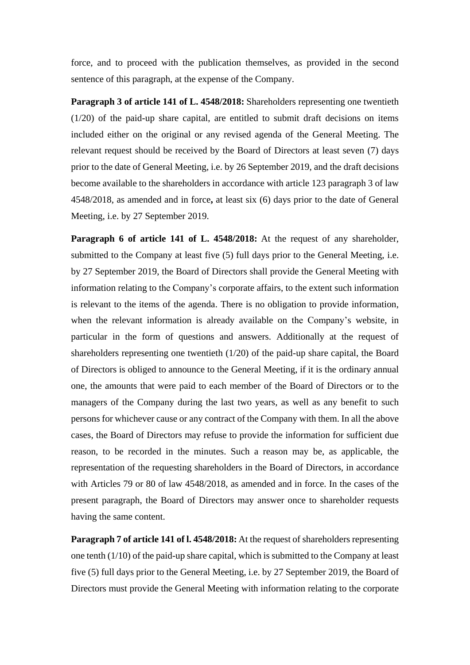force, and to proceed with the publication themselves, as provided in the second sentence of this paragraph, at the expense of the Company.

**Paragraph 3 of article 141 of L. 4548/2018:** Shareholders representing one twentieth (1/20) of the paid-up share capital, are entitled to submit draft decisions on items included either on the original or any revised agenda of the General Meeting. The relevant request should be received by the Board of Directors at least seven (7) days prior to the date of General Meeting, i.e. by 26 September 2019, and the draft decisions become available to the shareholders in accordance with article 123 paragraph 3 of law 4548/2018, as amended and in force**,** at least six (6) days prior to the date of General Meeting, i.e. by 27 September 2019.

**Paragraph 6 of article 141 of L. 4548/2018:** At the request of any shareholder, submitted to the Company at least five (5) full days prior to the General Meeting, i.e. by 27 September 2019, the Board of Directors shall provide the General Meeting with information relating to the Company's corporate affairs, to the extent such information is relevant to the items of the agenda. There is no obligation to provide information, when the relevant information is already available on the Company's website, in particular in the form of questions and answers. Additionally at the request of shareholders representing one twentieth (1/20) of the paid-up share capital, the Board of Directors is obliged to announce to the General Meeting, if it is the ordinary annual one, the amounts that were paid to each member of the Board of Directors or to the managers of the Company during the last two years, as well as any benefit to such persons for whichever cause or any contract of the Company with them. In all the above cases, the Board of Directors may refuse to provide the information for sufficient due reason, to be recorded in the minutes. Such a reason may be, as applicable, the representation of the requesting shareholders in the Board of Directors, in accordance with Articles 79 or 80 of law 4548/2018, as amended and in force. In the cases of the present paragraph, the Board of Directors may answer once to shareholder requests having the same content.

**Paragraph 7 of article 141 of l. 4548/2018:** At the request of shareholders representing one tenth (1/10) of the paid-up share capital, which is submitted to the Company at least five (5) full days prior to the General Meeting, i.e. by 27 September 2019, the Board of Directors must provide the General Meeting with information relating to the corporate